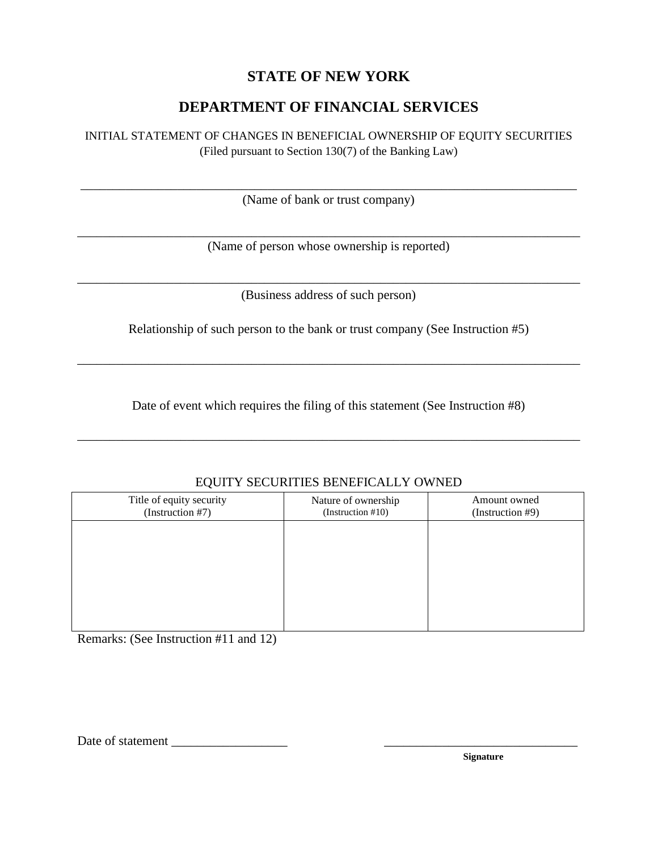## **STATE OF NEW YORK**

## **DEPARTMENT OF FINANCIAL SERVICES**

## INITIAL STATEMENT OF CHANGES IN BENEFICIAL OWNERSHIP OF EQUITY SECURITIES

(Filed pursuant to Section 130(7) of the Banking Law)

\_\_\_\_\_\_\_\_\_\_\_\_\_\_\_\_\_\_\_\_\_\_\_\_\_\_\_\_\_\_\_\_\_\_\_\_\_\_\_\_\_\_\_\_\_\_\_\_\_\_\_\_\_\_\_\_\_\_\_\_\_\_\_\_\_\_\_\_\_\_\_\_\_\_\_\_\_ (Name of bank or trust company)

\_\_\_\_\_\_\_\_\_\_\_\_\_\_\_\_\_\_\_\_\_\_\_\_\_\_\_\_\_\_\_\_\_\_\_\_\_\_\_\_\_\_\_\_\_\_\_\_\_\_\_\_\_\_\_\_\_\_\_\_\_\_\_\_\_\_\_\_\_\_\_\_\_\_\_\_\_\_ (Name of person whose ownership is reported)

\_\_\_\_\_\_\_\_\_\_\_\_\_\_\_\_\_\_\_\_\_\_\_\_\_\_\_\_\_\_\_\_\_\_\_\_\_\_\_\_\_\_\_\_\_\_\_\_\_\_\_\_\_\_\_\_\_\_\_\_\_\_\_\_\_\_\_\_\_\_\_\_\_\_\_\_\_\_ (Business address of such person)

Relationship of such person to the bank or trust company (See Instruction #5)

\_\_\_\_\_\_\_\_\_\_\_\_\_\_\_\_\_\_\_\_\_\_\_\_\_\_\_\_\_\_\_\_\_\_\_\_\_\_\_\_\_\_\_\_\_\_\_\_\_\_\_\_\_\_\_\_\_\_\_\_\_\_\_\_\_\_\_\_\_\_\_\_\_\_\_\_\_\_

Date of event which requires the filing of this statement (See Instruction #8)

\_\_\_\_\_\_\_\_\_\_\_\_\_\_\_\_\_\_\_\_\_\_\_\_\_\_\_\_\_\_\_\_\_\_\_\_\_\_\_\_\_\_\_\_\_\_\_\_\_\_\_\_\_\_\_\_\_\_\_\_\_\_\_\_\_\_\_\_\_\_\_\_\_\_\_\_\_\_

| ∼                                            |                                          |                                  |
|----------------------------------------------|------------------------------------------|----------------------------------|
| Title of equity security<br>(Instruction #7) | Nature of ownership<br>(Instruction #10) | Amount owned<br>(Instruction #9) |
|                                              |                                          |                                  |
|                                              |                                          |                                  |
|                                              |                                          |                                  |
|                                              |                                          |                                  |
|                                              |                                          |                                  |

EQUITY SECURITIES BENEFICALLY OWNED

Remarks: (See Instruction #11 and 12)

Date of statement \_\_\_\_\_\_\_\_\_\_\_\_\_\_\_\_\_\_ \_\_\_\_\_\_\_\_\_\_\_\_\_\_\_\_\_\_\_\_\_\_\_\_\_\_\_\_\_\_